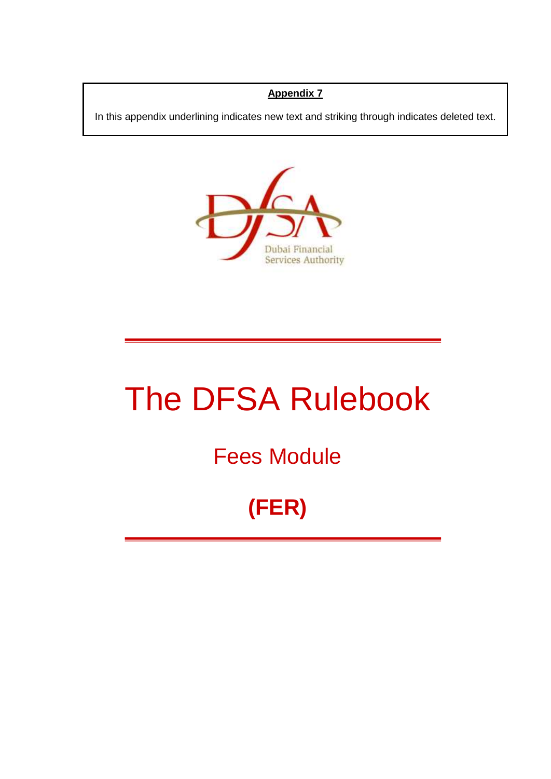# **Appendix 7**

In this appendix underlining indicates new text and striking through indicates deleted text.



# The DFSA Rulebook

# Fees Module

# **(FER)**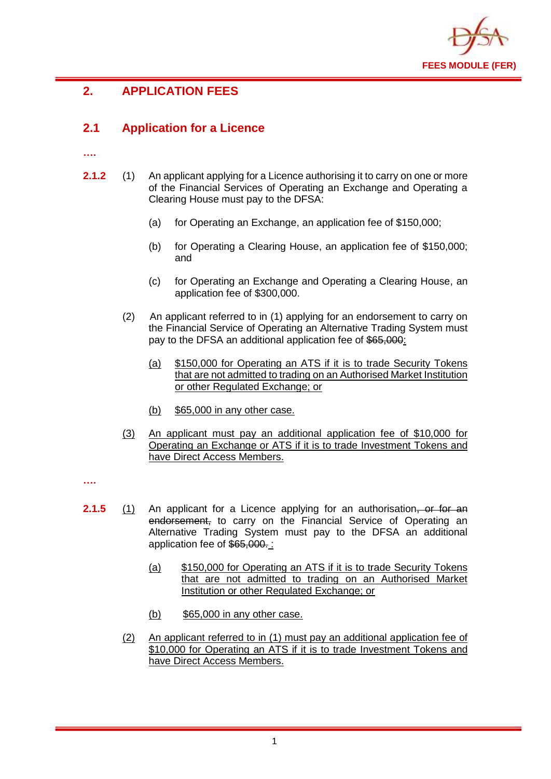

# **2. APPLICATION FEES**

# **2.1 Application for a Licence**

**….**

- **2.1.2** (1) An applicant applying for a Licence authorising it to carry on one or more of the Financial Services of Operating an Exchange and Operating a Clearing House must pay to the DFSA:
	- (a) for Operating an Exchange, an application fee of \$150,000;
	- (b) for Operating a Clearing House, an application fee of \$150,000; and
	- (c) for Operating an Exchange and Operating a Clearing House, an application fee of \$300,000.
	- (2) An applicant referred to in (1) applying for an endorsement to carry on the Financial Service of Operating an Alternative Trading System must pay to the DFSA an additional application fee of \$65,000:
		- (a) \$150,000 for Operating an ATS if it is to trade Security Tokens that are not admitted to trading on an Authorised Market Institution or other Regulated Exchange; or
		- (b) \$65,000 in any other case.
	- (3) An applicant must pay an additional application fee of \$10,000 for Operating an Exchange or ATS if it is to trade Investment Tokens and have Direct Access Members.

**….**

- **2.1.5** (1) An applicant for a Licence applying for an authorisation, or for an endorsement, to carry on the Financial Service of Operating an Alternative Trading System must pay to the DFSA an additional application fee of \$65,000. :
	- (a) \$150,000 for Operating an ATS if it is to trade Security Tokens that are not admitted to trading on an Authorised Market Institution or other Regulated Exchange; or
	- (b) \$65,000 in any other case.
	- (2) An applicant referred to in (1) must pay an additional application fee of \$10,000 for Operating an ATS if it is to trade Investment Tokens and have Direct Access Members.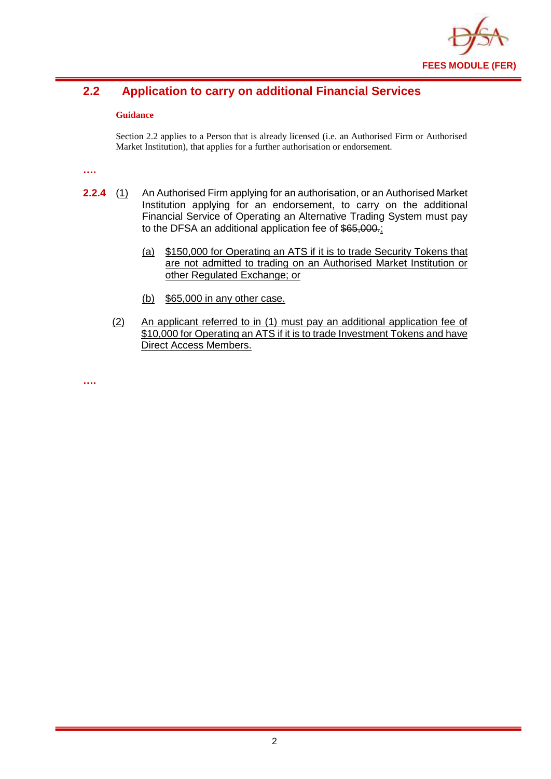

# **2.2 Application to carry on additional Financial Services**

#### **Guidance**

Section 2.2 applies to a Person that is already licensed (i.e. an Authorised Firm or Authorised Market Institution), that applies for a further authorisation or endorsement.

**….**

- **2.2.4** (1) An Authorised Firm applying for an authorisation, or an Authorised Market Institution applying for an endorsement, to carry on the additional Financial Service of Operating an Alternative Trading System must pay to the DFSA an additional application fee of \$65,000.
	- (a) \$150,000 for Operating an ATS if it is to trade Security Tokens that are not admitted to trading on an Authorised Market Institution or other Regulated Exchange; or
	- (b) \$65,000 in any other case.
	- (2) An applicant referred to in (1) must pay an additional application fee of \$10,000 for Operating an ATS if it is to trade Investment Tokens and have Direct Access Members.

**….**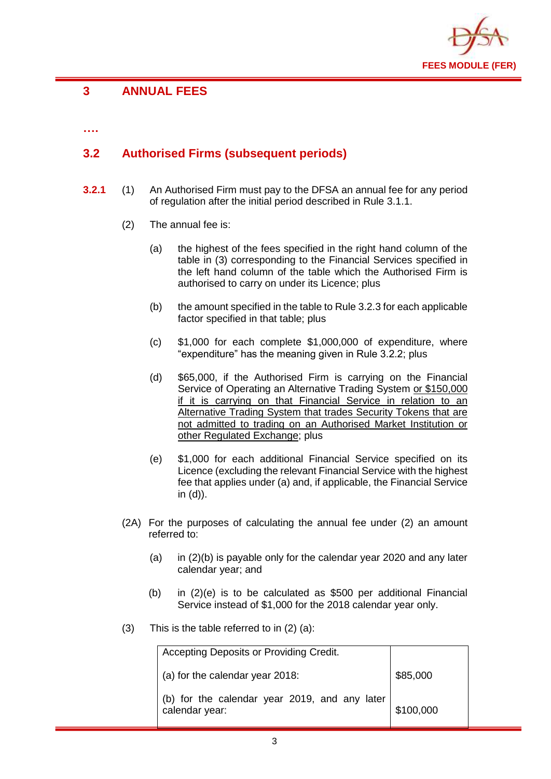

# **3 ANNUAL FEES**

**….**

# **3.2 Authorised Firms (subsequent periods)**

- **3.2.1** (1) An Authorised Firm must pay to the DFSA an annual fee for any period of regulation after the initial period described in Rule 3.1.1.
	- (2) The annual fee is:
		- (a) the highest of the fees specified in the right hand column of the table in (3) corresponding to the Financial Services specified in the left hand column of the table which the Authorised Firm is authorised to carry on under its Licence; plus
		- (b) the amount specified in the table to Rule 3.2.3 for each applicable factor specified in that table; plus
		- (c) \$1,000 for each complete \$1,000,000 of expenditure, where "expenditure" has the meaning given in Rule 3.2.2; plus
		- (d) \$65,000, if the Authorised Firm is carrying on the Financial Service of Operating an Alternative Trading System or \$150,000 if it is carrying on that Financial Service in relation to an Alternative Trading System that trades Security Tokens that are not admitted to trading on an Authorised Market Institution or other Regulated Exchange; plus
		- (e) \$1,000 for each additional Financial Service specified on its Licence (excluding the relevant Financial Service with the highest fee that applies under (a) and, if applicable, the Financial Service in (d)).
	- (2A) For the purposes of calculating the annual fee under (2) an amount referred to:
		- (a) in  $(2)(b)$  is payable only for the calendar year 2020 and any later calendar year; and
		- (b) in (2)(e) is to be calculated as \$500 per additional Financial Service instead of \$1,000 for the 2018 calendar year only.
	- (3) This is the table referred to in (2) (a):

| Accepting Deposits or Providing Credit.                         |           |
|-----------------------------------------------------------------|-----------|
| (a) for the calendar year 2018:                                 | \$85,000  |
| (b) for the calendar year 2019, and any later<br>calendar year: | \$100,000 |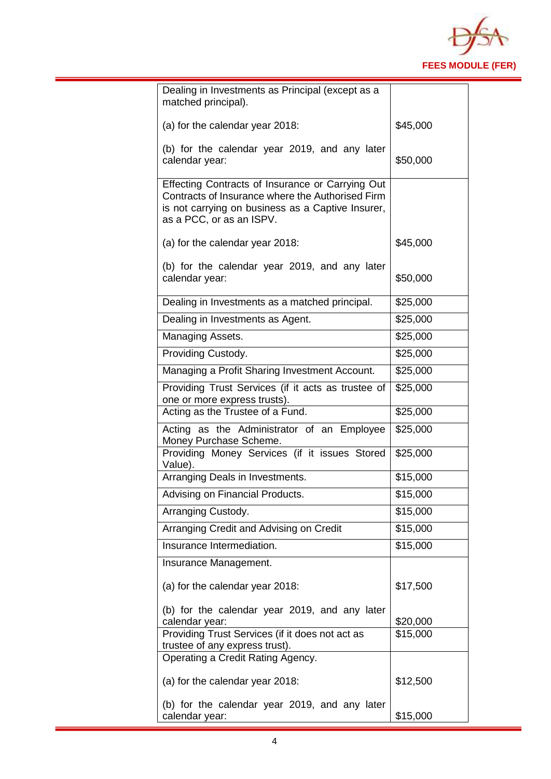

| Dealing in Investments as Principal (except as a<br>matched principal).                                                                                                               |          |
|---------------------------------------------------------------------------------------------------------------------------------------------------------------------------------------|----------|
| (a) for the calendar year 2018:                                                                                                                                                       | \$45,000 |
| (b) for the calendar year 2019, and any later<br>calendar year:                                                                                                                       | \$50,000 |
| Effecting Contracts of Insurance or Carrying Out<br>Contracts of Insurance where the Authorised Firm<br>is not carrying on business as a Captive Insurer,<br>as a PCC, or as an ISPV. |          |
| (a) for the calendar year 2018:                                                                                                                                                       | \$45,000 |
| (b) for the calendar year 2019, and any later<br>calendar year:                                                                                                                       | \$50,000 |
| Dealing in Investments as a matched principal.                                                                                                                                        | \$25,000 |
| Dealing in Investments as Agent.                                                                                                                                                      | \$25,000 |
| Managing Assets.                                                                                                                                                                      | \$25,000 |
| Providing Custody.                                                                                                                                                                    | \$25,000 |
| Managing a Profit Sharing Investment Account.                                                                                                                                         | \$25,000 |
| Providing Trust Services (if it acts as trustee of<br>one or more express trusts).                                                                                                    | \$25,000 |
| Acting as the Trustee of a Fund.                                                                                                                                                      | \$25,000 |
| Acting as the Administrator of an Employee<br>Money Purchase Scheme.                                                                                                                  | \$25,000 |
| Providing Money Services (if it issues Stored<br>Value).                                                                                                                              | \$25,000 |
| Arranging Deals in Investments.                                                                                                                                                       | \$15,000 |
| Advising on Financial Products.                                                                                                                                                       | \$15,000 |
| Arranging Custody.                                                                                                                                                                    | \$15,000 |
| Arranging Credit and Advising on Credit                                                                                                                                               | \$15,000 |
| Insurance Intermediation.                                                                                                                                                             | \$15,000 |
| Insurance Management.                                                                                                                                                                 |          |
| (a) for the calendar year 2018:                                                                                                                                                       | \$17,500 |
| (b) for the calendar year 2019, and any later<br>calendar year:                                                                                                                       | \$20,000 |
| Providing Trust Services (if it does not act as                                                                                                                                       | \$15,000 |
| trustee of any express trust).<br>Operating a Credit Rating Agency.                                                                                                                   |          |
|                                                                                                                                                                                       |          |
| (a) for the calendar year 2018:                                                                                                                                                       | \$12,500 |
| (b) for the calendar year 2019, and any later<br>calendar year:                                                                                                                       | \$15,000 |
|                                                                                                                                                                                       |          |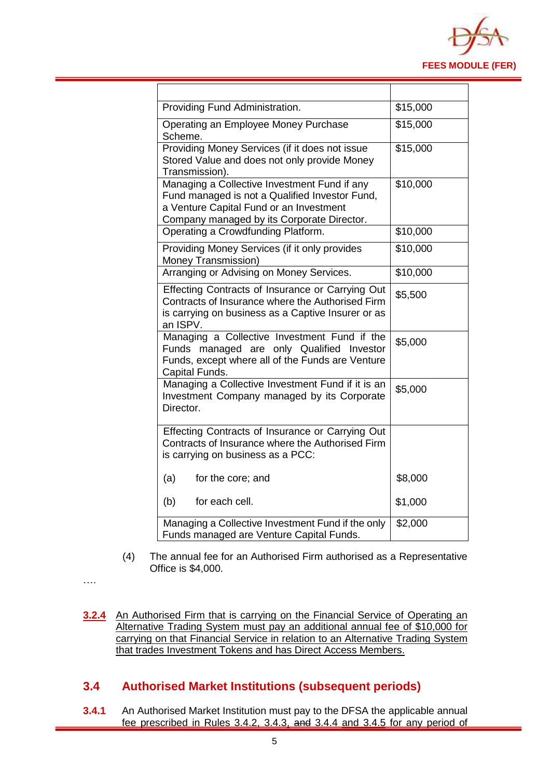

| Providing Fund Administration.                                                                                                                                                          | \$15,000 |
|-----------------------------------------------------------------------------------------------------------------------------------------------------------------------------------------|----------|
| Operating an Employee Money Purchase<br>Scheme.                                                                                                                                         | \$15,000 |
| Providing Money Services (if it does not issue<br>Stored Value and does not only provide Money<br>Transmission).                                                                        | \$15,000 |
| Managing a Collective Investment Fund if any<br>Fund managed is not a Qualified Investor Fund,<br>a Venture Capital Fund or an Investment<br>Company managed by its Corporate Director. | \$10,000 |
| Operating a Crowdfunding Platform.                                                                                                                                                      | \$10,000 |
| Providing Money Services (if it only provides<br>Money Transmission)                                                                                                                    | \$10,000 |
| Arranging or Advising on Money Services.                                                                                                                                                | \$10,000 |
| Effecting Contracts of Insurance or Carrying Out<br>Contracts of Insurance where the Authorised Firm<br>is carrying on business as a Captive Insurer or as<br>an ISPV.                  | \$5,500  |
| Managing a Collective Investment Fund if the<br>Funds managed are only Qualified Investor<br>Funds, except where all of the Funds are Venture<br>Capital Funds.                         | \$5,000  |
| Managing a Collective Investment Fund if it is an<br>Investment Company managed by its Corporate<br>Director.                                                                           | \$5,000  |
| Effecting Contracts of Insurance or Carrying Out<br>Contracts of Insurance where the Authorised Firm<br>is carrying on business as a PCC:                                               |          |
| (a)<br>for the core; and                                                                                                                                                                | \$8,000  |
| (b)<br>for each cell.                                                                                                                                                                   | \$1,000  |
| Managing a Collective Investment Fund if the only<br>Funds managed are Venture Capital Funds.                                                                                           | \$2,000  |

- (4) The annual fee for an Authorised Firm authorised as a Representative Office is \$4,000.
- ….
- **3.2.4** An Authorised Firm that is carrying on the Financial Service of Operating an Alternative Trading System must pay an additional annual fee of \$10,000 for carrying on that Financial Service in relation to an Alternative Trading System that trades Investment Tokens and has Direct Access Members.

### **3.4 Authorised Market Institutions (subsequent periods)**

**3.4.1** An Authorised Market Institution must pay to the DFSA the applicable annual fee prescribed in Rules 3.4.2, 3.4.3, and 3.4.4 and 3.4.5 for any period of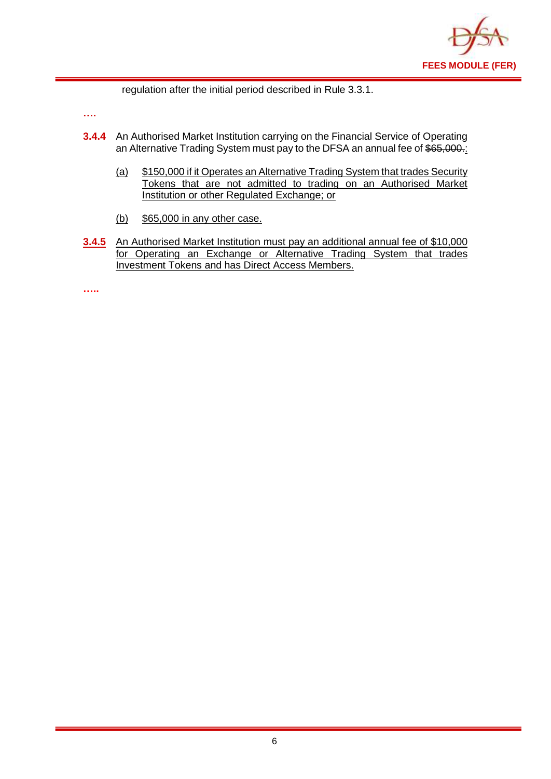

regulation after the initial period described in Rule 3.3.1.

**….**

- **3.4.4** An Authorised Market Institution carrying on the Financial Service of Operating an Alternative Trading System must pay to the DFSA an annual fee of \$65,000.
	- (a) \$150,000 if it Operates an Alternative Trading System that trades Security Tokens that are not admitted to trading on an Authorised Market Institution or other Regulated Exchange; or
	- (b) \$65,000 in any other case.
- **3.4.5** An Authorised Market Institution must pay an additional annual fee of \$10,000 for Operating an Exchange or Alternative Trading System that trades Investment Tokens and has Direct Access Members.

**…..**